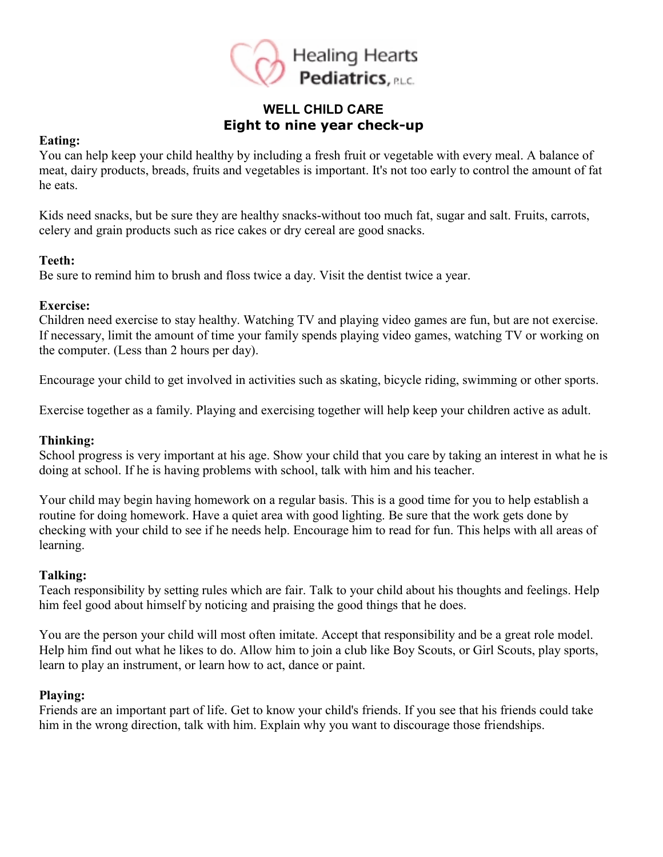

# **WELL CHILD CARE Eight to nine year check-up**

#### **Eating:**

You can help keep your child healthy by including a fresh fruit or vegetable with every meal. A balance of meat, dairy products, breads, fruits and vegetables is important. It's not too early to control the amount of fat he eats.

Kids need snacks, but be sure they are healthy snacks-without too much fat, sugar and salt. Fruits, carrots, celery and grain products such as rice cakes or dry cereal are good snacks.

#### **Teeth:**

Be sure to remind him to brush and floss twice a day. Visit the dentist twice a year.

#### **Exercise:**

Children need exercise to stay healthy. Watching TV and playing video games are fun, but are not exercise. If necessary, limit the amount of time your family spends playing video games, watching TV or working on the computer. (Less than 2 hours per day).

Encourage your child to get involved in activities such as skating, bicycle riding, swimming or other sports.

Exercise together as a family. Playing and exercising together will help keep your children active as adult.

## **Thinking:**

School progress is very important at his age. Show your child that you care by taking an interest in what he is doing at school. If he is having problems with school, talk with him and his teacher.

Your child may begin having homework on a regular basis. This is a good time for you to help establish a routine for doing homework. Have a quiet area with good lighting. Be sure that the work gets done by checking with your child to see if he needs help. Encourage him to read for fun. This helps with all areas of learning.

## **Talking:**

Teach responsibility by setting rules which are fair. Talk to your child about his thoughts and feelings. Help him feel good about himself by noticing and praising the good things that he does.

You are the person your child will most often imitate. Accept that responsibility and be a great role model. Help him find out what he likes to do. Allow him to join a club like Boy Scouts, or Girl Scouts, play sports, learn to play an instrument, or learn how to act, dance or paint.

## **Playing:**

Friends are an important part of life. Get to know your child's friends. If you see that his friends could take him in the wrong direction, talk with him. Explain why you want to discourage those friendships.